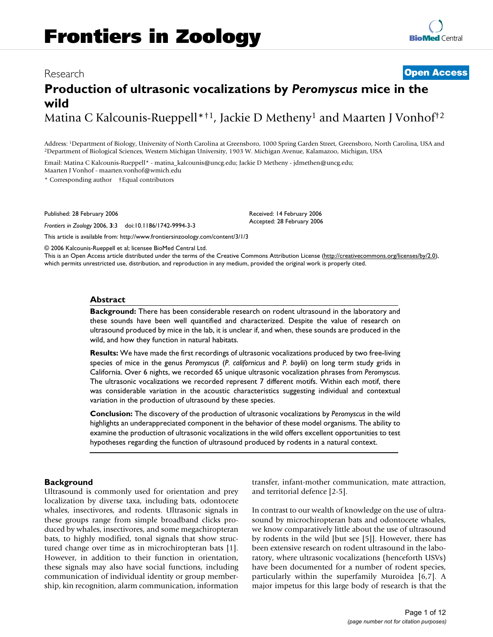# Research **[Open Access](http://www.biomedcentral.com/info/about/charter/)**

# **Production of ultrasonic vocalizations by** *Peromyscus* **mice in the wild** Matina C Kalcounis-Rueppell<sup>\*†1</sup>, Jackie D Metheny<sup>1</sup> and Maarten J Vonhof<sup>†2</sup>

Address: <sup>1</sup>Department of Biology, University of North Carolina at Greensboro, 1000 Spring Garden Street, Greensboro, North Carolina, USA and <sup>2</sup>Department of Biological Sciences, Western Michigan University, 1903 W. Michi

Email: Matina C Kalcounis-Rueppell\* - matina\_kalcounis@uncg.edu; Jackie D Metheny - jdmethen@uncg.edu; Maarten J Vonhof - maarten.vonhof@wmich.edu

\* Corresponding author †Equal contributors

Published: 28 February 2006

*Frontiers in Zoology* 2006, **3**:3 doi:10.1186/1742-9994-3-3

Received: 14 February 2006 Accepted: 28 February 2006

© 2006 Kalcounis-Rueppell et al; licensee BioMed Central Ltd.

[This article is available from: http://www.frontiersinzoology.com/content/3/1/3](http://www.frontiersinzoology.com/content/3/1/3)

This is an Open Access article distributed under the terms of the Creative Commons Attribution License [\(http://creativecommons.org/licenses/by/2.0\)](http://creativecommons.org/licenses/by/2.0), which permits unrestricted use, distribution, and reproduction in any medium, provided the original work is properly cited.

#### **Abstract**

**Background:** There has been considerable research on rodent ultrasound in the laboratory and these sounds have been well quantified and characterized. Despite the value of research on ultrasound produced by mice in the lab, it is unclear if, and when, these sounds are produced in the wild, and how they function in natural habitats.

**Results:** We have made the first recordings of ultrasonic vocalizations produced by two free-living species of mice in the genus *Peromyscus* (*P. californicus* and *P. boylii*) on long term study grids in California. Over 6 nights, we recorded 65 unique ultrasonic vocalization phrases from *Peromyscus*. The ultrasonic vocalizations we recorded represent 7 different motifs. Within each motif, there was considerable variation in the acoustic characteristics suggesting individual and contextual variation in the production of ultrasound by these species.

**Conclusion:** The discovery of the production of ultrasonic vocalizations by *Peromyscus* in the wild highlights an underappreciated component in the behavior of these model organisms. The ability to examine the production of ultrasonic vocalizations in the wild offers excellent opportunities to test hypotheses regarding the function of ultrasound produced by rodents in a natural context.

#### **Background**

Ultrasound is commonly used for orientation and prey localization by diverse taxa, including bats, odontocete whales, insectivores, and rodents. Ultrasonic signals in these groups range from simple broadband clicks produced by whales, insectivores, and some megachiropteran bats, to highly modified, tonal signals that show structured change over time as in microchiropteran bats [1]. However, in addition to their function in orientation, these signals may also have social functions, including communication of individual identity or group membership, kin recognition, alarm communication, information transfer, infant-mother communication, mate attraction, and territorial defence [2-5].

In contrast to our wealth of knowledge on the use of ultrasound by microchiropteran bats and odontocete whales, we know comparatively little about the use of ultrasound by rodents in the wild [but see [5]]. However, there has been extensive research on rodent ultrasound in the laboratory, where ultrasonic vocalizations (henceforth USVs) have been documented for a number of rodent species, particularly within the superfamily Muroidea [6,7]. A major impetus for this large body of research is that the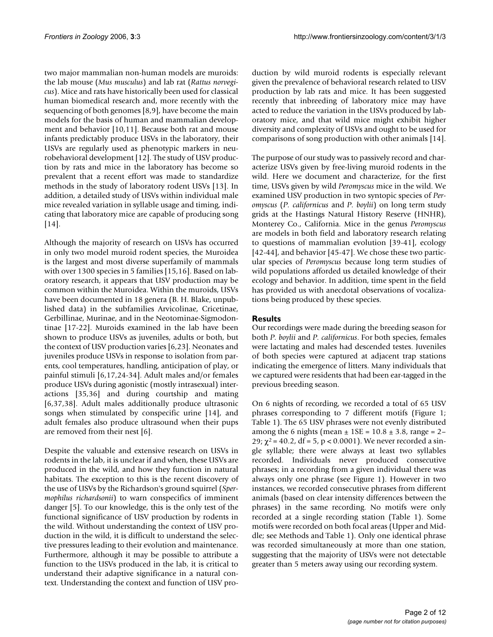two major mammalian non-human models are muroids: the lab mouse (*Mus musculus*) and lab rat (*Rattus norvegicus*). Mice and rats have historically been used for classical human biomedical research and, more recently with the sequencing of both genomes [8,9], have become the main models for the basis of human and mammalian development and behavior [10,11]. Because both rat and mouse infants predictably produce USVs in the laboratory, their USVs are regularly used as phenotypic markers in neurobehavioral development [12]. The study of USV production by rats and mice in the laboratory has become so prevalent that a recent effort was made to standardize methods in the study of laboratory rodent USVs [13]. In addition, a detailed study of USVs within individual male mice revealed variation in syllable usage and timing, indicating that laboratory mice are capable of producing song [14].

Although the majority of research on USVs has occurred in only two model muroid rodent species, the Muroidea is the largest and most diverse superfamily of mammals with over 1300 species in 5 families [15,16]. Based on laboratory research, it appears that USV production may be common within the Muroidea. Within the muroids, USVs have been documented in 18 genera (B. H. Blake, unpublished data) in the subfamilies Arvicolinae, Cricetinae, Gerbillinae, Murinae, and in the Neotominae-Sigmodontinae [17-22]. Muroids examined in the lab have been shown to produce USVs as juveniles, adults or both, but the context of USV production varies [6,23]. Neonates and juveniles produce USVs in response to isolation from parents, cool temperatures, handling, anticipation of play, or painful stimuli [6,17,24-34]. Adult males and/or females produce USVs during agonistic (mostly intrasexual) interactions [35,36] and during courtship and mating [6,37,38]. Adult males additionally produce ultrasonic songs when stimulated by conspecific urine [14], and adult females also produce ultrasound when their pups are removed from their nest [6].

Despite the valuable and extensive research on USVs in rodents in the lab, it is unclear if and when, these USVs are produced in the wild, and how they function in natural habitats. The exception to this is the recent discovery of the use of USVs by the Richardson's ground squirrel (*Spermophilus richardsonii*) to warn conspecifics of imminent danger [5]. To our knowledge, this is the only test of the functional significance of USV production by rodents in the wild. Without understanding the context of USV production in the wild, it is difficult to understand the selective pressures leading to their evolution and maintenance. Furthermore, although it may be possible to attribute a function to the USVs produced in the lab, it is critical to understand their adaptive significance in a natural context. Understanding the context and function of USV production by wild muroid rodents is especially relevant given the prevalence of behavioral research related to USV production by lab rats and mice. It has been suggested recently that inbreeding of laboratory mice may have acted to reduce the variation in the USVs produced by laboratory mice, and that wild mice might exhibit higher diversity and complexity of USVs and ought to be used for comparisons of song production with other animals [14].

The purpose of our study was to passively record and characterize USVs given by free-living muroid rodents in the wild. Here we document and characterize, for the first time, USVs given by wild *Peromyscus* mice in the wild. We examined USV production in two syntopic species of *Peromyscus* (*P. californicus* and *P. boylii*) on long term study grids at the Hastings Natural History Reserve (HNHR), Monterey Co., California. Mice in the genus *Peromyscus* are models in both field and laboratory research relating to questions of mammalian evolution [39-41], ecology [42-44], and behavior [45-47]. We chose these two particular species of *Peromyscus* because long term studies of wild populations afforded us detailed knowledge of their ecology and behavior. In addition, time spent in the field has provided us with anecdotal observations of vocalizations being produced by these species.

### **Results**

Our recordings were made during the breeding season for both *P. boylii* and *P. californicus*. For both species, females were lactating and males had descended testes. Juveniles of both species were captured at adjacent trap stations indicating the emergence of litters. Many individuals that we captured were residents that had been ear-tagged in the previous breeding season.

On 6 nights of recording, we recorded a total of 65 USV phrases corresponding to 7 different motifs (Figure 1; Table 1). The 65 USV phrases were not evenly distributed among the 6 nights (mean  $\pm$  1SE = 10.8  $\pm$  3.8, range = 2– 29;  $\chi^2$  = 40.2, df = 5, p < 0.0001). We never recorded a single syllable; there were always at least two syllables recorded. Individuals never produced consecutive phrases; in a recording from a given individual there was always only one phrase (see Figure 1). However in two instances, we recorded consecutive phrases from different animals (based on clear intensity differences between the phrases) in the same recording. No motifs were only recorded at a single recording station (Table 1). Some motifs were recorded on both focal areas (Upper and Middle; see Methods and Table 1). Only one identical phrase was recorded simultaneously at more than one station, suggesting that the majority of USVs were not detectable greater than 5 meters away using our recording system.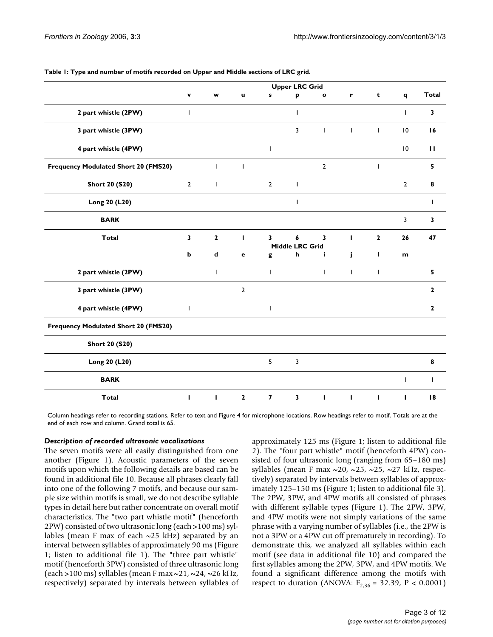|                                      | <b>Upper LRC Grid</b> |              |                |                         |                          |                |              |              |                 |              |
|--------------------------------------|-----------------------|--------------|----------------|-------------------------|--------------------------|----------------|--------------|--------------|-----------------|--------------|
|                                      | $\mathbf v$           | w            | u              | s                       | p                        | $\mathbf{o}$   | r            | t            | $\mathbf q$     | Total        |
| 2 part whistle (2PW)                 | T                     |              |                |                         | T                        |                |              |              | $\mathbf{I}$    | 3            |
| 3 part whistle (3PW)                 |                       |              |                |                         | 3                        | $\mathbf{I}$   | $\mathbf{I}$ | $\mathbf{I}$ | $\overline{10}$ | 16           |
| 4 part whistle (4PW)                 |                       |              |                | $\mathbf{I}$            |                          |                |              |              | $\overline{10}$ | $\mathbf{H}$ |
| Frequency Modulated Short 20 (FMS20) |                       | L            | $\mathbf{I}$   |                         |                          | $\overline{2}$ |              | $\mathbf{I}$ |                 | 5            |
| <b>Short 20 (S20)</b>                | $\overline{2}$        | $\mathbf{I}$ |                | $\overline{2}$          | $\overline{\phantom{a}}$ |                |              |              | $\overline{2}$  | 8            |
| Long 20 (L20)                        |                       |              |                |                         | $\mathbf{I}$             |                |              |              |                 | т            |
| <b>BARK</b>                          |                       |              |                |                         |                          |                |              |              | 3               | 3            |
| Total                                | 3                     | $\mathbf{2}$ | т              | 3                       | 6<br>Middle LRC Grid     | 3              | $\mathbf{I}$ | $\mathbf{2}$ | 26              | 47           |
|                                      | $\mathbf b$           | $\mathbf d$  | $\mathbf{e}$   | g                       | h                        | ÷              | j.           | L            | m               |              |
| 2 part whistle (2PW)                 |                       | T            |                | T                       |                          | $\mathbf{I}$   | $\mathbf{I}$ | $\mathbf{I}$ |                 | 5            |
| 3 part whistle (3PW)                 |                       |              | $\overline{2}$ |                         |                          |                |              |              |                 | 2            |
| 4 part whistle (4PW)                 | T                     |              |                | $\mathbf{I}$            |                          |                |              |              |                 | $\mathbf{2}$ |
| Frequency Modulated Short 20 (FMS20) |                       |              |                |                         |                          |                |              |              |                 |              |
| <b>Short 20 (S20)</b>                |                       |              |                |                         |                          |                |              |              |                 |              |
| Long 20 (L20)                        |                       |              |                | 5                       | 3                        |                |              |              |                 | 8            |
| <b>BARK</b>                          |                       |              |                |                         |                          |                |              |              | $\mathbf{I}$    | т            |
| Total                                | п                     | $\mathbf{I}$ | $\mathbf{2}$   | $\overline{\mathbf{z}}$ | 3                        | $\mathbf{I}$   | $\mathbf{I}$ | L            | I.              | 18           |

**Table 1: Type and number of motifs recorded on Upper and Middle sections of LRC grid.**

Column headings refer to recording stations. Refer to text and Figure 4 for microphone locations. Row headings refer to motif. Totals are at the end of each row and column. Grand total is 65.

#### *Description of recorded ultrasonic vocalizations*

The seven motifs were all easily distinguished from one another (Figure 1). Acoustic parameters of the seven motifs upon which the following details are based can be found in additional file 10. Because all phrases clearly fall into one of the following 7 motifs, and because our sample size within motifs is small, we do not describe syllable types in detail here but rather concentrate on overall motif characteristics. The "two part whistle motif" (henceforth 2PW) consisted of two ultrasonic long (each >100 ms) syllables (mean F max of each  $\sim$ 25 kHz) separated by an interval between syllables of approximately 90 ms (Figure 1; listen to additional file 1). The "three part whistle" motif (henceforth 3PW) consisted of three ultrasonic long (each >100 ms) syllables (mean F max ~21, ~24, ~26 kHz, respectively) separated by intervals between syllables of approximately 125 ms (Figure 1; listen to additional file 2). The "four part whistle" motif (henceforth 4PW) consisted of four ultrasonic long (ranging from 65–180 ms) syllables (mean F max ~20, ~25, ~25, ~27 kHz, respectively) separated by intervals between syllables of approximately 125–150 ms (Figure 1; listen to additional file 3). The 2PW, 3PW, and 4PW motifs all consisted of phrases with different syllable types (Figure 1). The 2PW, 3PW, and 4PW motifs were not simply variations of the same phrase with a varying number of syllables (i.e., the 2PW is not a 3PW or a 4PW cut off prematurely in recording). To demonstrate this, we analyzed all syllables within each motif (see data in additional file 10) and compared the first syllables among the 2PW, 3PW, and 4PW motifs. We found a significant difference among the motifs with respect to duration (ANOVA:  $F_{2,36} = 32.39$ ,  $P < 0.0001$ )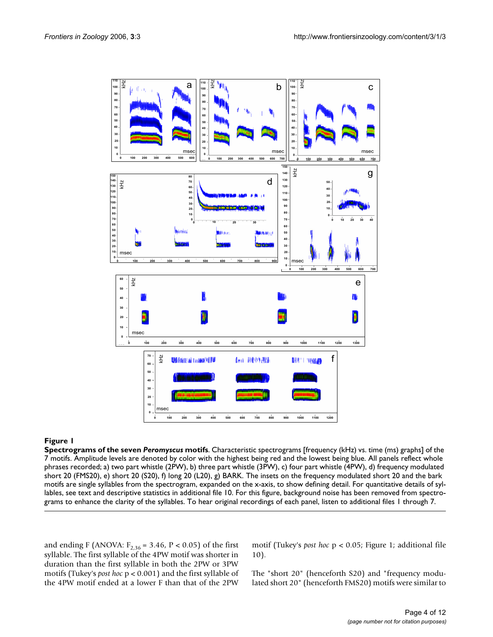

#### **Figure 1**

**Spectrograms of the seven** *Peromyscus* **motifs**. Characteristic spectrograms [frequency (kHz) vs. time (ms) graphs] of the 7 motifs. Amplitude levels are denoted by color with the highest being red and the lowest being blue. All panels reflect whole phrases recorded; a) two part whistle (2PW), b) three part whistle (3PW), c) four part whistle (4PW), d) frequency modulated short 20 (FMS20), e) short 20 (S20), f) long 20 (L20), g) BARK. The insets on the frequency modulated short 20 and the bark motifs are single syllables from the spectrogram, expanded on the x-axis, to show defining detail. For quantitative details of syllables, see text and descriptive statistics in additional file 10. For this figure, background noise has been removed from spectrograms to enhance the clarity of the syllables. To hear original recordings of each panel, listen to additional files 1 through 7.

and ending F (ANOVA:  $F_{2,36}$  = 3.46, P < 0.05) of the first syllable. The first syllable of the 4PW motif was shorter in duration than the first syllable in both the 2PW or 3PW motifs (Tukey's *post hoc* p < 0.001) and the first syllable of the 4PW motif ended at a lower F than that of the 2PW motif (Tukey's *post hoc* p < 0.05; Figure 1; additional file 10).

The "short 20" (henceforth S20) and "frequency modulated short 20" (henceforth FMS20) motifs were similar to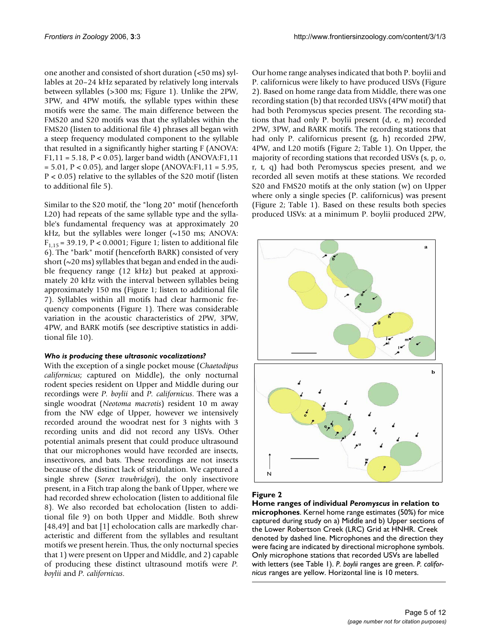one another and consisted of short duration (<50 ms) syllables at 20–24 kHz separated by relatively long intervals between syllables (>300 ms; Figure 1). Unlike the 2PW, 3PW, and 4PW motifs, the syllable types within these motifs were the same. The main difference between the FMS20 and S20 motifs was that the syllables within the FMS20 (listen to additional file 4) phrases all began with a steep frequency modulated component to the syllable that resulted in a significantly higher starting F (ANOVA: F1,11 = 5.18, P < 0.05), larger band width (ANOVA:F1,11 = 5.01, P < 0.05), and larger slope (ANOVA:F1,11 = 5.95, P < 0.05) relative to the syllables of the S20 motif (listen to additional file 5).

Similar to the S20 motif, the "long 20" motif (henceforth L20) had repeats of the same syllable type and the syllable's fundamental frequency was at approximately 20 kHz, but the syllables were longer  $(\sim 150 \text{ ms}; \text{ANOVA}:$  $F_{1,15}$  = 39.19, P < 0.0001; Figure 1; listen to additional file 6). The "bark" motif (henceforth BARK) consisted of very short ( $\sim$ 20 ms) syllables that began and ended in the audible frequency range (12 kHz) but peaked at approximately 20 kHz with the interval between syllables being approximately 150 ms (Figure 1; listen to additional file 7). Syllables within all motifs had clear harmonic frequency components (Figure 1). There was considerable variation in the acoustic characteristics of 2PW, 3PW, 4PW, and BARK motifs (see descriptive statistics in additional file 10).

### *Who is producing these ultrasonic vocalizations?*

With the exception of a single pocket mouse (*Chaetodipus californicus*; captured on Middle), the only nocturnal rodent species resident on Upper and Middle during our recordings were *P. boylii* and *P. californicus*. There was a single woodrat (*Neotoma macrotis*) resident 10 m away from the NW edge of Upper, however we intensively recorded around the woodrat nest for 3 nights with 3 recording units and did not record any USVs. Other potential animals present that could produce ultrasound that our microphones would have recorded are insects, insectivores, and bats. These recordings are not insects because of the distinct lack of stridulation. We captured a single shrew (*Sorex trowbridgei*), the only insectivore present, in a Fitch trap along the bank of Upper, where we had recorded shrew echolocation (listen to additional file 8). We also recorded bat echolocation (listen to additional file 9) on both Upper and Middle. Both shrew [48,49] and bat [1] echolocation calls are markedly characteristic and different from the syllables and resultant motifs we present herein. Thus, the only nocturnal species that 1) were present on Upper and Middle, and 2) capable of producing these distinct ultrasound motifs were *P. boylii* and *P. californicus*.

Our home range analyses indicated that both P. boylii and P. californicus were likely to have produced USVs (Figure 2). Based on home range data from Middle, there was one recording station (b) that recorded USVs (4PW motif) that had both Peromyscus species present. The recording stations that had only P. boylii present (d, e, m) recorded 2PW, 3PW, and BARK motifs. The recording stations that had only P. californicus present (g, h) recorded 2PW, 4PW, and L20 motifs (Figure 2; Table 1). On Upper, the majority of recording stations that recorded USVs (s, p, o, r, t, q) had both Peromyscus species present, and we recorded all seven motifs at these stations. We recorded S20 and FMS20 motifs at the only station (w) on Upper where only a single species (P. californicus) was present (Figure 2; Table 1). Based on these results both species produced USVs: at a minimum P. boylii produced 2PW,



### Figure 2

**Home ranges of individual** *Peromyscus* **in relation to microphones**. Kernel home range estimates (50%) for mice captured during study on a) Middle and b) Upper sections of the Lower Robertson Creek (LRC) Grid at HNHR. Creek denoted by dashed line. Microphones and the direction they were facing are indicated by directional microphone symbols. Only microphone stations that recorded USVs are labelled with letters (see Table 1). *P. boylii* ranges are green. *P. californicus* ranges are yellow. Horizontal line is 10 meters.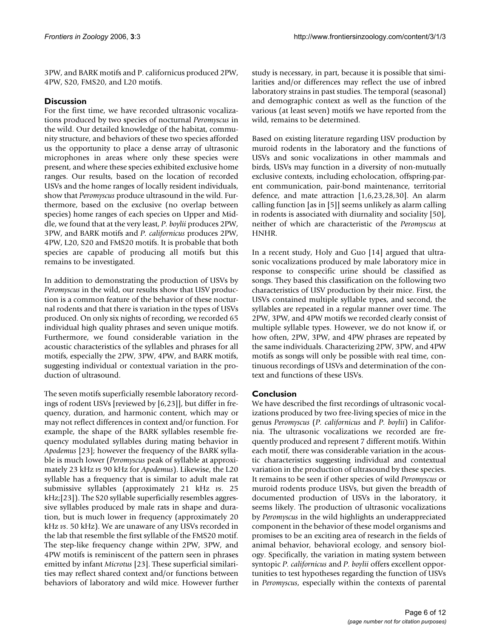3PW, and BARK motifs and P. californicus produced 2PW, 4PW, S20, FMS20, and L20 motifs.

### **Discussion**

For the first time, we have recorded ultrasonic vocalizations produced by two species of nocturnal *Peromyscus* in the wild. Our detailed knowledge of the habitat, community structure, and behaviors of these two species afforded us the opportunity to place a dense array of ultrasonic microphones in areas where only these species were present, and where these species exhibited exclusive home ranges. Our results, based on the location of recorded USVs and the home ranges of locally resident individuals, show that *Peromyscus* produce ultrasound in the wild. Furthermore, based on the exclusive (no overlap between species) home ranges of each species on Upper and Middle, we found that at the very least, *P. boylii* produces 2PW, 3PW, and BARK motifs and *P. californicus* produces 2PW, 4PW, L20, S20 and FMS20 motifs. It is probable that both species are capable of producing all motifs but this remains to be investigated.

In addition to demonstrating the production of USVs by *Peromyscus* in the wild, our results show that USV production is a common feature of the behavior of these nocturnal rodents and that there is variation in the types of USVs produced. On only six nights of recording, we recorded 65 individual high quality phrases and seven unique motifs. Furthermore, we found considerable variation in the acoustic characteristics of the syllables and phrases for all motifs, especially the 2PW, 3PW, 4PW, and BARK motifs, suggesting individual or contextual variation in the production of ultrasound.

The seven motifs superficially resemble laboratory recordings of rodent USVs [reviewed by [6,23]], but differ in frequency, duration, and harmonic content, which may or may not reflect differences in context and/or function. For example, the shape of the BARK syllables resemble frequency modulated syllables during mating behavior in *Apodemus* [23]; however the frequency of the BARK syllable is much lower (*Peromyscus* peak of syllable at approximately 23 kHz *vs* 90 kHz for *Apodemus*). Likewise, the L20 syllable has a frequency that is similar to adult male rat submissive syllables (approximately 21 kHz *vs*. 25 kHz;[23]). The S20 syllable superficially resembles aggressive syllables produced by male rats in shape and duration, but is much lower in frequency (approximately 20 kHz *vs*. 50 kHz). We are unaware of any USVs recorded in the lab that resemble the first syllable of the FMS20 motif. The step-like frequency change within 2PW, 3PW, and 4PW motifs is reminiscent of the pattern seen in phrases emitted by infant *Microtus* [23]. These superficial similarities may reflect shared context and/or functions between behaviors of laboratory and wild mice. However further study is necessary, in part, because it is possible that similarities and/or differences may reflect the use of inbred laboratory strains in past studies. The temporal (seasonal) and demographic context as well as the function of the various (at least seven) motifs we have reported from the wild, remains to be determined.

Based on existing literature regarding USV production by muroid rodents in the laboratory and the functions of USVs and sonic vocalizations in other mammals and birds, USVs may function in a diversity of non-mutually exclusive contexts, including echolocation, offspring-parent communication, pair-bond maintenance, territorial defence, and mate attraction [1,6,23,28,30]. An alarm calling function [as in [5]] seems unlikely as alarm calling in rodents is associated with diurnality and sociality [50], neither of which are characteristic of the *Peromyscus* at HNHR.

In a recent study, Holy and Guo [14] argued that ultrasonic vocalizations produced by male laboratory mice in response to conspecific urine should be classified as songs. They based this classification on the following two characteristics of USV production by their mice. First, the USVs contained multiple syllable types, and second, the syllables are repeated in a regular manner over time. The 2PW, 3PW, and 4PW motifs we recorded clearly consist of multiple syllable types. However, we do not know if, or how often, 2PW, 3PW, and 4PW phrases are repeated by the same individuals. Characterizing 2PW, 3PW, and 4PW motifs as songs will only be possible with real time, continuous recordings of USVs and determination of the context and functions of these USVs.

### **Conclusion**

We have described the first recordings of ultrasonic vocalizations produced by two free-living species of mice in the genus *Peromyscus* (*P. californicus* and *P. boylii*) in California. The ultrasonic vocalizations we recorded are frequently produced and represent 7 different motifs. Within each motif, there was considerable variation in the acoustic characteristics suggesting individual and contextual variation in the production of ultrasound by these species. It remains to be seen if other species of wild *Peromyscus* or muroid rodents produce USVs, but given the breadth of documented production of USVs in the laboratory, it seems likely. The production of ultrasonic vocalizations by *Peromyscus* in the wild highlights an underappreciated component in the behavior of these model organisms and promises to be an exciting area of research in the fields of animal behavior, behavioral ecology, and sensory biology. Specifically, the variation in mating system between syntopic *P. californicus* and *P. boylii* offers excellent opportunities to test hypotheses regarding the function of USVs in *Peromyscus*, especially within the contexts of parental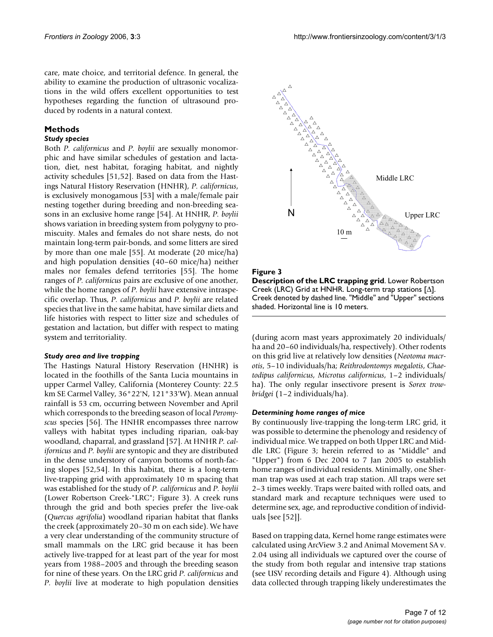care, mate choice, and territorial defence. In general, the ability to examine the production of ultrasonic vocalizations in the wild offers excellent opportunities to test hypotheses regarding the function of ultrasound produced by rodents in a natural context.

### **Methods**

### *Study species*

Both *P. californicus* and *P. boylii* are sexually monomorphic and have similar schedules of gestation and lactation, diet, nest habitat, foraging habitat, and nightly activity schedules [51,52]. Based on data from the Hastings Natural History Reservation (HNHR), *P. californicus*, is exclusively monogamous [53] with a male/female pair nesting together during breeding and non-breeding seasons in an exclusive home range [54]. At HNHR, *P. boylii* shows variation in breeding system from polygyny to promiscuity. Males and females do not share nests, do not maintain long-term pair-bonds, and some litters are sired by more than one male [55]. At moderate (20 mice/ha) and high population densities (40–60 mice/ha) neither males nor females defend territories [55]. The home ranges of *P. californicus* pairs are exclusive of one another, while the home ranges of *P. boylii* have extensive intraspecific overlap. Thus, *P. californicus* and *P. boylii* are related species that live in the same habitat, have similar diets and life histories with respect to litter size and schedules of gestation and lactation, but differ with respect to mating system and territoriality.

### *Study area and live trapping*

The Hastings Natural History Reservation (HNHR) is located in the foothills of the Santa Lucia mountains in upper Carmel Valley, California (Monterey County: 22.5 km SE Carmel Valley, 36°22'N, 121°33'W). Mean annual rainfall is 53 cm, occurring between November and April which corresponds to the breeding season of local *Peromyscus* species [56]. The HNHR encompasses three narrow valleys with habitat types including riparian, oak-bay woodland, chaparral, and grassland [57]. At HNHR *P. californicus* and *P. boylii* are syntopic and they are distributed in the dense understory of canyon bottoms of north-facing slopes [52,54]. In this habitat, there is a long-term live-trapping grid with approximately 10 m spacing that was established for the study of *P. californicus* and *P. boylii* (Lower Robertson Creek-"LRC"; Figure 3). A creek runs through the grid and both species prefer the live-oak (*Quercus agrifolia*) woodland riparian habitat that flanks the creek (approximately 20–30 m on each side). We have a very clear understanding of the community structure of small mammals on the LRC grid because it has been actively live-trapped for at least part of the year for most years from 1988–2005 and through the breeding season for nine of these years. On the LRC grid *P. californicus* and *P. boylii* live at moderate to high population densities



**Figure 3 Description of the LRC trapping grid**. Lower Robertson Creek (LRC) Grid at HNHR. Long-term trap stations [Δ]. Creek denoted by dashed line. "Middle" and "Upper" sections

(during acorn mast years approximately 20 individuals/ ha and 20–60 individuals/ha, respectively). Other rodents on this grid live at relatively low densities (*Neotoma macrotis*, 5–10 individuals/ha; *Reithrodontomys megalotis*, *Chaetodipus californicus*, *Microtus californicus*, 1–2 individuals/ ha). The only regular insectivore present is *Sorex trowbridgei* (1–2 individuals/ha).

#### *Determining home ranges of mice*

shaded. Horizontal line is 10 meters.

By continuously live-trapping the long-term LRC grid, it was possible to determine the phenology and residency of individual mice. We trapped on both Upper LRC and Middle LRC (Figure 3; herein referred to as "Middle" and "Upper") from 6 Dec 2004 to 7 Jan 2005 to establish home ranges of individual residents. Minimally, one Sherman trap was used at each trap station. All traps were set 2–3 times weekly. Traps were baited with rolled oats, and standard mark and recapture techniques were used to determine sex, age, and reproductive condition of individuals [see [52]].

Based on trapping data, Kernel home range estimates were calculated using ArcView 3.2 and Animal Movement SA v. 2.04 using all individuals we captured over the course of the study from both regular and intensive trap stations (see USV recording details and Figure 4). Although using data collected through trapping likely underestimates the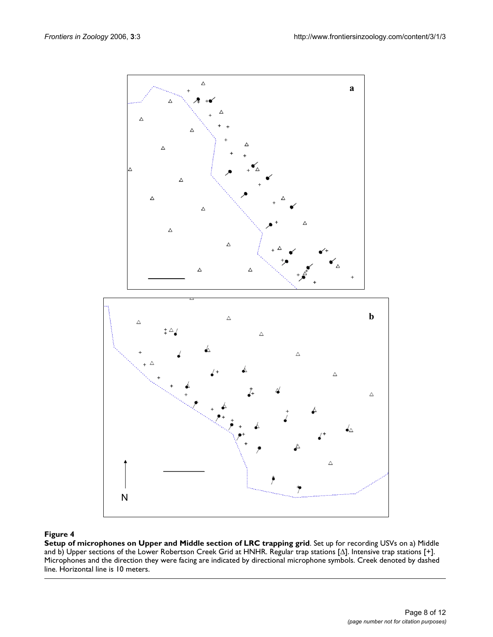

### Figure 4

**Setup of microphones on Upper and Middle section of LRC trapping grid**. Set up for recording USVs on a) Middle and b) Upper sections of the Lower Robertson Creek Grid at HNHR. Regular trap stations [Δ]. Intensive trap stations [+]. Microphones and the direction they were facing are indicated by directional microphone symbols. Creek denoted by dashed line. Horizontal line is 10 meters.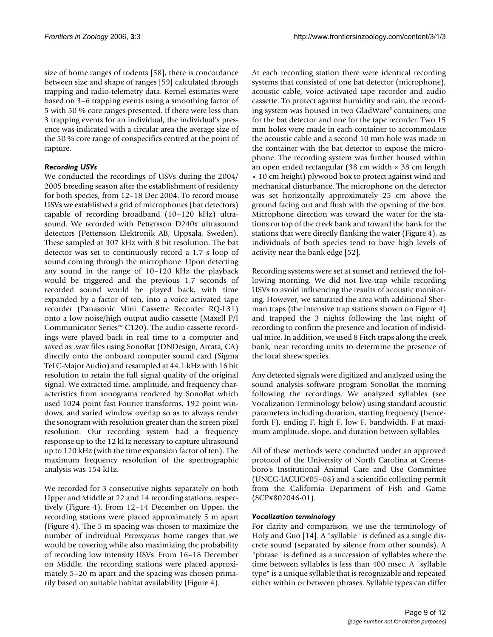size of home ranges of rodents [58], there is concordance between size and shape of ranges [59] calculated through trapping and radio-telemetry data. Kernel estimates were based on 3–6 trapping events using a smoothing factor of 5 with 50 % core ranges presented. If there were less than 3 trapping events for an individual, the individual's presence was indicated with a circular area the average size of the 50 % core range of conspecifics centred at the point of capture.

### *Recording USVs*

We conducted the recordings of USVs during the 2004/ 2005 breeding season after the establishment of residency for both species, from 12–18 Dec 2004. To record mouse USVs we established a grid of microphones (bat detectors) capable of recording broadband (10–120 kHz) ultrasound. We recorded with Pettersson D240x ultrasound detectors (Pettersson Elektronik AB, Uppsala, Sweden). These sampled at 307 kHz with 8 bit resolution. The bat detector was set to continuously record a 1.7 s loop of sound coming through the microphone. Upon detecting any sound in the range of 10–120 kHz the playback would be triggered and the previous 1.7 seconds of recorded sound would be played back, with time expanded by a factor of ten, into a voice activated tape recorder (Panasonic Mini Cassette Recorder RQ-L31) onto a low noise/high output audio cassette (Maxell P/I Communicator Series™ C120). The audio cassette recordings were played back in real time to a computer and saved as .wav files using SonoBat (DNDesign, Arcata, CA) directly onto the onboard computer sound card (Sigma Tel C-Major Audio) and resampled at 44.1 kHz with 16 bit resolution to retain the full signal quality of the original signal. We extracted time, amplitude, and frequency characteristics from sonograms rendered by SonoBat which used 1024 point fast Fourier transforms, 192 point windows, and varied window overlap so as to always render the sonogram with resolution greater than the screen pixel resolution. Our recording system had a frequency response up to the 12 kHz necessary to capture ultrasound up to 120 kHz (with the time expansion factor of ten). The maximum frequency resolution of the spectrographic analysis was 154 kHz.

We recorded for 3 consecutive nights separately on both Upper and Middle at 22 and 14 recording stations, respectively (Figure 4). From 12–14 December on Upper, the recording stations were placed approximately 5 m apart (Figure 4). The 5 m spacing was chosen to maximize the number of individual *Peromyscus* home ranges that we would be covering while also maximizing the probability of recording low intensity USVs. From 16–18 December on Middle, the recording stations were placed approximately 5–20 m apart and the spacing was chosen primarily based on suitable habitat availability (Figure 4).

At each recording station there were identical recording systems that consisted of one bat detector (microphone), acoustic cable, voice activated tape recorder and audio cassette. To protect against humidity and rain, the recording system was housed in two GladWare® containers; one for the bat detector and one for the tape recorder. Two 15 mm holes were made in each container to accommodate the acoustic cable and a second 10 mm hole was made in the container with the bat detector to expose the microphone. The recording system was further housed within an open ended rectangular (38 cm width × 38 cm length × 10 cm height) plywood box to protect against wind and mechanical disturbance. The microphone on the detector was set horizontally approximately 25 cm above the ground facing out and flush with the opening of the box. Microphone direction was toward the water for the stations on top of the creek bank and toward the bank for the stations that were directly flanking the water (Figure 4), as individuals of both species tend to have high levels of activity near the bank edge [52].

Recording systems were set at sunset and retrieved the following morning. We did not live-trap while recording USVs to avoid influencing the results of acoustic monitoring. However, we saturated the area with additional Sherman traps (the intensive trap stations shown on Figure 4) and trapped the 3 nights following the last night of recording to confirm the presence and location of individual mice. In addition, we used 8 Fitch traps along the creek bank, near recording units to determine the presence of the local shrew species.

Any detected signals were digitized and analyzed using the sound analysis software program SonoBat the morning following the recordings. We analyzed syllables (see Vocalization Terminology below) using standard acoustic parameters including duration, starting frequency (henceforth F), ending F, high F, low F, bandwidth, F at maximum amplitude, slope, and duration between syllables.

All of these methods were conducted under an approved protocol of the University of North Carolina at Greensboro's Institutional Animal Care and Use Committee (UNCG-IACUC#05–08) and a scientific collecting permit from the California Department of Fish and Game (SCP#802046-01).

### *Vocalization terminology*

For clarity and comparison, we use the terminology of Holy and Guo [14]. A "syllable" is defined as a single discrete sound (separated by silence from other sounds). A "phrase" is defined as a succession of syllables where the time between syllables is less than 400 msec. A "syllable type" is a unique syllable that is recognizable and repeated either within or between phrases. Syllable types can differ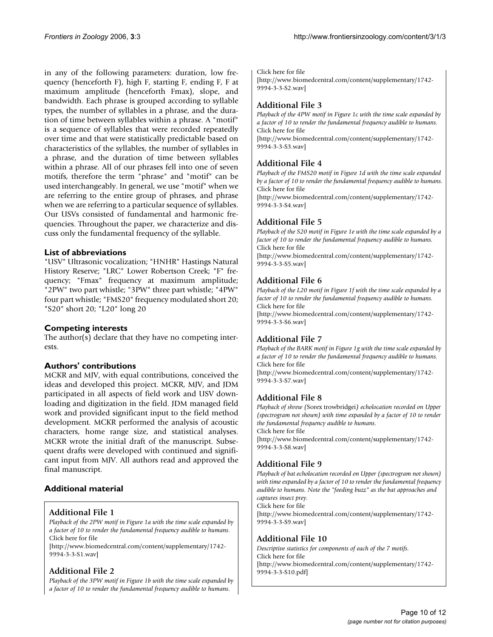in any of the following parameters: duration, low frequency (henceforth F), high F, starting F, ending F, F at maximum amplitude (henceforth Fmax), slope, and bandwidth. Each phrase is grouped according to syllable types, the number of syllables in a phrase, and the duration of time between syllables within a phrase. A "motif" is a sequence of syllables that were recorded repeatedly over time and that were statistically predictable based on characteristics of the syllables, the number of syllables in a phrase, and the duration of time between syllables within a phrase. All of our phrases fell into one of seven motifs, therefore the term "phrase" and "motif" can be used interchangeably. In general, we use "motif" when we are referring to the entire group of phrases, and phrase when we are referring to a particular sequence of syllables. Our USVs consisted of fundamental and harmonic frequencies. Throughout the paper, we characterize and discuss only the fundamental frequency of the syllable.

### **List of abbreviations**

"USV" Ultrasonic vocalization; "HNHR" Hastings Natural History Reserve; "LRC" Lower Robertson Creek; "F" frequency; "Fmax" frequency at maximum amplitude; "2PW" two part whistle; "3PW" three part whistle; "4PW" four part whistle; "FMS20" frequency modulated short 20; "S20" short 20; "L20" long 20

### **Competing interests**

The author(s) declare that they have no competing interests.

### **Authors' contributions**

MCKR and MJV, with equal contributions, conceived the ideas and developed this project. MCKR, MJV, and JDM participated in all aspects of field work and USV downloading and digitization in the field. JDM managed field work and provided significant input to the field method development. MCKR performed the analysis of acoustic characters, home range size, and statistical analyses. MCKR wrote the initial draft of the manuscript. Subsequent drafts were developed with continued and significant input from MJV. All authors read and approved the final manuscript.

# **Additional material**

### **Additional File 1**

*Playback of the 2PW motif in Figure 1a with the time scale expanded by a factor of 10 to render the fundamental frequency audible to humans.* Click here for file

[\[http://www.biomedcentral.com/content/supplementary/1742-](http://www.biomedcentral.com/content/supplementary/1742-9994-3-3-S1.wav) 9994-3-3-S1.wav]

# **Additional File 2**

*Playback of the 3PW motif in Figure 1b with the time scale expanded by a factor of 10 to render the fundamental frequency audible to humans.*

Click here for file [\[http://www.biomedcentral.com/content/supplementary/1742-](http://www.biomedcentral.com/content/supplementary/1742-9994-3-3-S2.wav) 9994-3-3-S2.wav]

### **Additional File 3**

*Playback of the 4PW motif in Figure 1c with the time scale expanded by a factor of 10 to render the fundamental frequency audible to humans.* Click here for file [\[http://www.biomedcentral.com/content/supplementary/1742-](http://www.biomedcentral.com/content/supplementary/1742-9994-3-3-S3.wav) 9994-3-3-S3.wav]

# **Additional File 4**

*Playback of the FMS20 motif in Figure 1d with the time scale expanded by a factor of 10 to render the fundamental frequency audible to humans.* Click here for file

[\[http://www.biomedcentral.com/content/supplementary/1742-](http://www.biomedcentral.com/content/supplementary/1742-9994-3-3-S4.wav) 9994-3-3-S4.wav]

# **Additional File 5**

*Playback of the S20 motif in Figure 1e with the time scale expanded by a factor of 10 to render the fundamental frequency audible to humans.* Click here for file [\[http://www.biomedcentral.com/content/supplementary/1742-](http://www.biomedcentral.com/content/supplementary/1742-9994-3-3-S5.wav) 9994-3-3-S5.wav]

# **Additional File 6**

*Playback of the L20 motif in Figure 1f with the time scale expanded by a factor of 10 to render the fundamental frequency audible to humans.* Click here for file [\[http://www.biomedcentral.com/content/supplementary/1742-](http://www.biomedcentral.com/content/supplementary/1742-9994-3-3-S6.wav) 9994-3-3-S6.wav]

# **Additional File 7**

*Playback of the BARK motif in Figure 1g with the time scale expanded by a factor of 10 to render the fundamental frequency audible to humans.* Click here for file [\[http://www.biomedcentral.com/content/supplementary/1742-](http://www.biomedcentral.com/content/supplementary/1742-9994-3-3-S7.wav) 9994-3-3-S7.wav]

# **Additional File 8**

*Playback of shrew (*Sorex trowbridgei*) echolocation recorded on Upper (spectrogram not shown) with time expanded by a factor of 10 to render the fundamental frequency audible to humans.* Click here for file [\[http://www.biomedcentral.com/content/supplementary/1742-](http://www.biomedcentral.com/content/supplementary/1742-9994-3-3-S8.wav) 9994-3-3-S8.wav]

# **Additional File 9**

9994-3-3-S9.wav]

*Playback of bat echolocation recorded on Upper (spectrogram not shown) with time expanded by a factor of 10 to render the fundamental frequency audible to humans. Note the "feeding buzz" as the bat approaches and captures insect prey.* Click here for file [\[http://www.biomedcentral.com/content/supplementary/1742-](http://www.biomedcentral.com/content/supplementary/1742-9994-3-3-S9.wav)

**Additional File 10**

*Descriptive statistics for components of each of the 7 motifs.* Click here for file [\[http://www.biomedcentral.com/content/supplementary/1742-](http://www.biomedcentral.com/content/supplementary/1742-9994-3-3-S10.pdf) 9994-3-3-S10.pdf]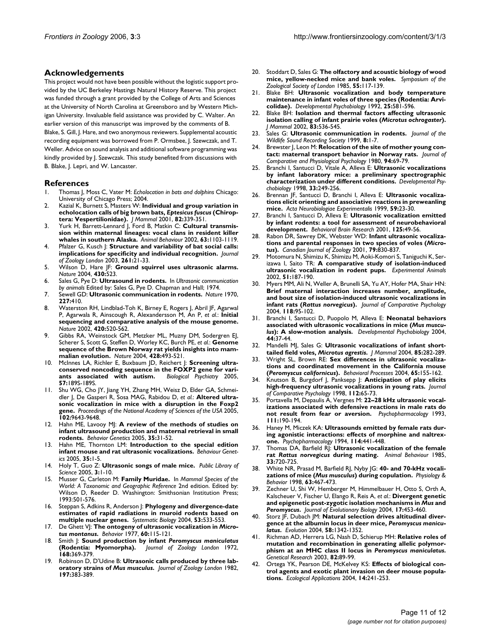#### **Acknowledgements**

This project would not have been possible without the logistic support provided by the UC Berkeley Hastings Natural History Reserve. This project was funded through a grant provided by the College of Arts and Sciences at the University of North Carolina at Greensboro and by Western Michigan University. Invaluable field assistance was provided by C. Walter. An earlier version of this manuscript was improved by the comments of B. Blake, S. Gill, J. Hare, and two anonymous reviewers. Supplemental acoustic recording equipment was borrowed from P. Ormsbee, J. Szewczak, and T. Weller. Advice on sound analysis and additional software programming was kindly provided by J. Szewczak. This study benefited from discussions with B. Blake, J. Lepri, and W. Lancaster.

#### **References**

- 1. Thomas J, Moss C, Vater M: *Echolocation in bats and dolphins* Chicago: University of Chicago Press; 2004.
- 2. Kazial K, Burnett S, Masters W: **Individual and group variation in echolocation calls of big brown bats,** *Eptesicus fuscus* **(Chiroptera: Vespertilionidae).** *J Mammal* 2001, **82:**339-351.
- 3. Yurk H, Barrett-Lennard J, Ford B, Matkin C: **Cultural transmission within maternal lineages: vocal clans in resident killer whales in southern Alaska.** *Animal Behaviour* 2002, **63:**1103-1119.
- 4. Pfalzer G, Kusch J: **Structure and variability of bat social calls: implications for specificity and individual recognition.** *Journal of Zoology London* 2003, **261:**21-33.
- 5. Wilson D, Hare JF: **[Ground squirrel uses ultrasonic alarms.](http://www.ncbi.nlm.nih.gov/entrez/query.fcgi?cmd=Retrieve&db=PubMed&dopt=Abstract&list_uids=15282596)** *Nature* 2004, **430:**523.
- 6. Sales G, Pye D: **Ultrasound in rodents.** In *Ultrasonic communication by animals* Edited by: Sales G, Pye D. Chapman and Hall; 1974.
- 7. Sewell GD: **[Ultrasonic communication in rodents.](http://www.ncbi.nlm.nih.gov/entrez/query.fcgi?cmd=Retrieve&db=PubMed&dopt=Abstract&list_uids=5464098)** *Nature* 1970, **227:**410.
- 8. Waterston RH, Lindblad-Toh K, Birney E, Rogers J, Abril JF, Agarwal P, Agarwala R, Ainscough R, Alexandersson M, An P, *et al.*: **[Initial](http://www.ncbi.nlm.nih.gov/entrez/query.fcgi?cmd=Retrieve&db=PubMed&dopt=Abstract&list_uids=12466850) [sequencing and comparative analysis of the mouse genome.](http://www.ncbi.nlm.nih.gov/entrez/query.fcgi?cmd=Retrieve&db=PubMed&dopt=Abstract&list_uids=12466850)** *Nature* 2002, **420:**520-562.
- 9. Gibbs RA, Weinstock GM, Metzker ML, Muzny DM, Sodergren EJ, Scherer S, Scott G, Steffen D, Worley KC, Burch PE, *et al.*: **[Genome](http://www.ncbi.nlm.nih.gov/entrez/query.fcgi?cmd=Retrieve&db=PubMed&dopt=Abstract&list_uids=15057822) [sequence of the Brown Norway rat yields insights into mam](http://www.ncbi.nlm.nih.gov/entrez/query.fcgi?cmd=Retrieve&db=PubMed&dopt=Abstract&list_uids=15057822)[malian evolution.](http://www.ncbi.nlm.nih.gov/entrez/query.fcgi?cmd=Retrieve&db=PubMed&dopt=Abstract&list_uids=15057822)** *Nature* 2004, **428:**493-521.
- 10. McInnes LA, Richler E, Buxbaum JD, Reichert J: **Screening ultraconserved noncoding sequence in the FOXP2 gene for variants associated with autism.** *Biological Psychiatry* 2005, **57:**189S-189S.
- 11. Shu WG, Cho JY, Jiang YH, Zhang MH, Weisz D, Elder GA, Schmeidler J, De Gasperi R, Sosa MAG, Rabidou D, *et al.*: **[Altered ultra](http://www.ncbi.nlm.nih.gov/entrez/query.fcgi?cmd=Retrieve&db=PubMed&dopt=Abstract&list_uids=15983371)[sonic vocalization in mice with a disruption in the Foxp2](http://www.ncbi.nlm.nih.gov/entrez/query.fcgi?cmd=Retrieve&db=PubMed&dopt=Abstract&list_uids=15983371) [gene.](http://www.ncbi.nlm.nih.gov/entrez/query.fcgi?cmd=Retrieve&db=PubMed&dopt=Abstract&list_uids=15983371)** *Proceedings of the National Academy of Sciences of the USA* 2005, **102:**9643-9648.
- 12. Hahn ME, Lavooy MJ: **[A review of the methods of studies on](http://www.ncbi.nlm.nih.gov/entrez/query.fcgi?cmd=Retrieve&db=PubMed&dopt=Abstract&list_uids=15674531) [infant ultrasound production and maternal retrieval in small](http://www.ncbi.nlm.nih.gov/entrez/query.fcgi?cmd=Retrieve&db=PubMed&dopt=Abstract&list_uids=15674531) [rodents.](http://www.ncbi.nlm.nih.gov/entrez/query.fcgi?cmd=Retrieve&db=PubMed&dopt=Abstract&list_uids=15674531)** *Behavior Genetics* 2005, **35:**31-52.
- 13. Hahn ME, Thornton LM: **Introduction to the special edition infant mouse and rat ultrasonic vocalizations.** *Behaviour Genetics* 2005, **35:**1-5.
- 14. Holy T, Guo Z: **Ultrasonic songs of male mice.** *Public Library of Science* 2005, **3:**1-10.
- 15. Musser G, Carleton M: **Family Muridae.** In *Mammal Species of the World: A Taxonomic and Geographic Reference* 2nd edition. Edited by: Wilson D, Reeder D. Washington: Smithsonian Institution Press; 1993:501-576.
- 16. Steppan S, Adkins R, Anderson J: **[Phylogeny and divergence-date](http://www.ncbi.nlm.nih.gov/entrez/query.fcgi?cmd=Retrieve&db=PubMed&dopt=Abstract&list_uids=15371245) [estimates of rapid radiations in muroid rodents based on](http://www.ncbi.nlm.nih.gov/entrez/query.fcgi?cmd=Retrieve&db=PubMed&dopt=Abstract&list_uids=15371245) [multiple nuclear genes.](http://www.ncbi.nlm.nih.gov/entrez/query.fcgi?cmd=Retrieve&db=PubMed&dopt=Abstract&list_uids=15371245)** *Systematic Biology* 2004, **53:**533-553.
- 17. De Ghett VJ: **The ontogeny of ultrasonic vocalization in** *Microtus montanus***.** *Behavior* 1977, **60:**115-121.
- 18. Smith J: **Sound production by infant** *Peromyscus maniculatus* **(Rodentia: Myomorpha).** *Journal of Zoology London* 1972, **168:**369-379.
- 19. Robinson D, D'Udine B: **Ultrasonic calls produced by three laboratory strains of** *Mus musculus***.** *Journal of Zoology London* 1982, **197:**383-389.
- 20. Stoddart D, Sales G: **The olfactory and acoustic biology of wood mice, yellow-necked mice and bank voles.** *Symposium of the Zoological Society of London* 1985, **55:**117-139.
- 21. Blake BH: **[Ultrasonic vocalization and body temperature](http://www.ncbi.nlm.nih.gov/entrez/query.fcgi?cmd=Retrieve&db=PubMed&dopt=Abstract&list_uids=1487083) [maintenance in infant voles of three species \(Rodentia: Arvi](http://www.ncbi.nlm.nih.gov/entrez/query.fcgi?cmd=Retrieve&db=PubMed&dopt=Abstract&list_uids=1487083)[colidae\).](http://www.ncbi.nlm.nih.gov/entrez/query.fcgi?cmd=Retrieve&db=PubMed&dopt=Abstract&list_uids=1487083)** *Developmental Psychobiology* 1992, **25:**581-596.
- 22. Blake BH: **Isolation and thermal factors affecting ultrasonic isolation calling of infant prairie voles (***Microtus ochrogaster***).** *J Mammal* 2002, **83:**536-545.
- 23. Sales G: **Ultrasonic communication in rodents.** *Journal of the Wildlife Sound Recording Society* 1999, **8:**1-7.
- 24. Brewster J, Leon M: **Relocation of the site of mother young contact: maternal transport behavior in Norway rats.** *Journal of Comparative and Physiological Psychology* 1980, **94:**69-79.
- 25. Branchi I, Santucci D, Vitale A, Alleva E: **[Ultrasonic vocalizations](http://www.ncbi.nlm.nih.gov/entrez/query.fcgi?cmd=Retrieve&db=PubMed&dopt=Abstract&list_uids=9810475) [by infant laboratory mice: a preliminary spectrographic](http://www.ncbi.nlm.nih.gov/entrez/query.fcgi?cmd=Retrieve&db=PubMed&dopt=Abstract&list_uids=9810475) [characterization under different conditions.](http://www.ncbi.nlm.nih.gov/entrez/query.fcgi?cmd=Retrieve&db=PubMed&dopt=Abstract&list_uids=9810475)** *Developmental Psychobiology* 1998, **33:**249-256.
- 26. Brennan JF, Santucci D, Branchi I, Alleva E: **[Ultrasonic vocaliza](http://www.ncbi.nlm.nih.gov/entrez/query.fcgi?cmd=Retrieve&db=PubMed&dopt=Abstract&list_uids=10230073)[tions elicit orienting and associative reactions in preweanling](http://www.ncbi.nlm.nih.gov/entrez/query.fcgi?cmd=Retrieve&db=PubMed&dopt=Abstract&list_uids=10230073) [mice.](http://www.ncbi.nlm.nih.gov/entrez/query.fcgi?cmd=Retrieve&db=PubMed&dopt=Abstract&list_uids=10230073)** *Acta Neurobiologiae Experimentalis* 1999, **59:**23-30.
- 27. Branchi I, Santucci D, Alleva E: **Ultrasonic vocalization emitted by infant rodents: a tool for assessment of neurobehavioral development.** *Behavioral Brain Research* 2001, **125:**49-56.
- 28. Rabon DR, Sawrey DK, Webster WD: **Infant ultrasonic vocalizations and parental responses in two species of voles (***Microtus***).** *Canadian Journal of Zoology* 2001, **79:**830-837.
- 29. Motomura N, Shimizu K, Shimizu M, Aoki-Komori S, Taniguchi K, Serizawa I, Saito TR: **[A comparative study of isolation-induced](http://www.ncbi.nlm.nih.gov/entrez/query.fcgi?cmd=Retrieve&db=PubMed&dopt=Abstract&list_uids=12012730) [ultrasonic vocalization in rodent pups.](http://www.ncbi.nlm.nih.gov/entrez/query.fcgi?cmd=Retrieve&db=PubMed&dopt=Abstract&list_uids=12012730)** *Experimental Animals* 2002, **51:**187-190.
- 30. Myers MM, Ali N, Weller A, Brunelli SA, Yu AY, Hofer MA, Shair HN: **Brief maternal interaction increases number, amplitude, and bout size of isolation-induced ultrasonic vocalizations in infant rats (***Rattus norvegicus***[\).](http://www.ncbi.nlm.nih.gov/entrez/query.fcgi?cmd=Retrieve&db=PubMed&dopt=Abstract&list_uids=15008677)** *Journal of Comparative Psychology* 2004, **118:**95-102.
- 31. Branchi I, Santucci D, Puopolo M, Alleva E: **Neonatal behaviors associated with ultrasonic vocalizations in mice (***Mus musculus***[\): A slow-motion analysis.](http://www.ncbi.nlm.nih.gov/entrez/query.fcgi?cmd=Retrieve&db=PubMed&dopt=Abstract&list_uids=14704988)** *Developmental Psychobiology* 2004, **44:**37-44.
- 32. Mandelli MJ, Sales G: **Ultrasonic vocalizations of infant shorttailed field voles,** *Microtus agrestis***.** *J Mammal* 2004, **85:**282-289.
- 33. Wright SL, Brown RE: **Sex differences in ultrasonic vocalizations and coordinated movement in the California mouse (***Peromyscus californicus***).** *Behavioral Processes* 2004, **65:**155-162.
- 34. Knutson B, Burgdorf J, Panksepp J: **[Anticipation of play elicits](http://www.ncbi.nlm.nih.gov/entrez/query.fcgi?cmd=Retrieve&db=PubMed&dopt=Abstract&list_uids=9528115) [high-frequency ultrasonic vocalizations in young rats.](http://www.ncbi.nlm.nih.gov/entrez/query.fcgi?cmd=Retrieve&db=PubMed&dopt=Abstract&list_uids=9528115)** *Journal of Comparative Psychology* 1998, **112:**65-73.
- 35. Portavella M, Depaulis A, Vergnes M: **[22–28 kHz ultrasonic vocal](http://www.ncbi.nlm.nih.gov/entrez/query.fcgi?cmd=Retrieve&db=PubMed&dopt=Abstract&list_uids=7870951)[izations associated with defensive reactions in male rats do](http://www.ncbi.nlm.nih.gov/entrez/query.fcgi?cmd=Retrieve&db=PubMed&dopt=Abstract&list_uids=7870951) [not result from fear or aversion.](http://www.ncbi.nlm.nih.gov/entrez/query.fcgi?cmd=Retrieve&db=PubMed&dopt=Abstract&list_uids=7870951)** *Psychopharmacology* 1993, **111:**190-194.
- 36. Haney M, Miczek KA: **[Ultrasounds emitted by female rats dur](http://www.ncbi.nlm.nih.gov/entrez/query.fcgi?cmd=Retrieve&db=PubMed&dopt=Abstract&list_uids=7855202)[ing agonistic interactions: effects of morphine and naltrex](http://www.ncbi.nlm.nih.gov/entrez/query.fcgi?cmd=Retrieve&db=PubMed&dopt=Abstract&list_uids=7855202)[one.](http://www.ncbi.nlm.nih.gov/entrez/query.fcgi?cmd=Retrieve&db=PubMed&dopt=Abstract&list_uids=7855202)** *Psychopharmacology* 1994, **114:**441-448.
- 37. Thomas DA, Barfield RJ: Ultrasonic vocalization of the female **rat** *Rattus norvegicus* **during mating.** *Animal Behaviour* 1985, **33:**720-725.
- 38. White NR, Prasad M, Barfield RJ, Nyby JG: **40- and 70-kHz vocalizations of mice (***Mus musculus***[\) during copulation.](http://www.ncbi.nlm.nih.gov/entrez/query.fcgi?cmd=Retrieve&db=PubMed&dopt=Abstract&list_uids=9523885)** *Physiology & Behavior* 1998, **63:**467-473.
- 39. Zechner U, Shi W, Hemberger M, Himmelbauer H, Otto S, Orth A, Kalscheuer V, Fischer U, Elango R, Reis A, *et al.*: **Divergent genetic and epigenetic post-zygotic isolation mechanisms in** *Mus* **and** *Peromyscus***[.](http://www.ncbi.nlm.nih.gov/entrez/query.fcgi?cmd=Retrieve&db=PubMed&dopt=Abstract&list_uids=15009278)** *Journal of Evolutionary Biology* 2004, **17:**453-460.
- 40. Storz JF, Dubach JM: **Natural selection drives altitudinal divergence at the albumin locus in deer mice,** *Peromyscus maniculatus***[.](http://www.ncbi.nlm.nih.gov/entrez/query.fcgi?cmd=Retrieve&db=PubMed&dopt=Abstract&list_uids=15266982)** *Evolution* 2004, **58:**1342-1352.
- 41. Richman AD, Herrera LG, Nash D, Schierup MH: **Relative roles of mutation and recombination in generating allelic polymorphism at an MHC class II locus in** *Peromyscus maniculatus***[.](http://www.ncbi.nlm.nih.gov/entrez/query.fcgi?cmd=Retrieve&db=PubMed&dopt=Abstract&list_uids=14768893)** *Genetical Research* 2003, **82:**89-99.
- 42. Ortega YK, Pearson DE, McKelvey KS: **Effects of biological control agents and exotic plant invasion on deer mouse populations.** *Ecological Applications* 2004, **14:**241-253.